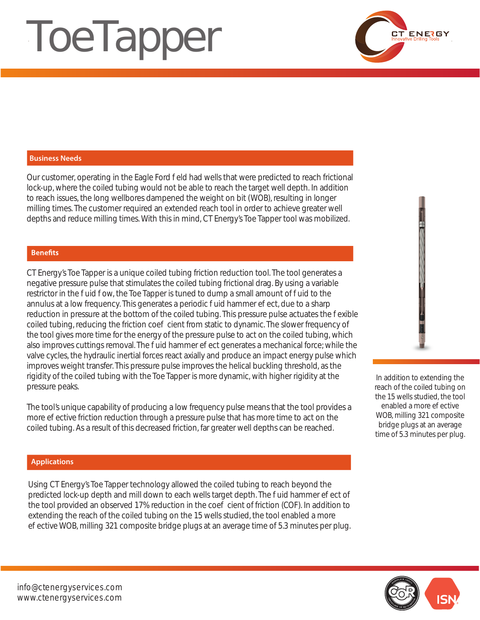# **ToeTapper**



# **Business Needs**

Our customer, operating in the Eagle Ford eld had wells that were predicted to reach frictional lock-up, where the coiled tubing would not be able to reach the target well depth. In addition to reach issues, the long wellbores dampened the weight on bit (WOB), resulting in longer milling times. The customer required an extended reach tool in order to achieve greater well depths and reduce milling times. With this in mind, CT Energy's Toe Tapper tool was mobilized.

# **Benefits**

CT Energy's Toe Tapper is a unique coiled tubing friction reduction tool. The tool generates a negative pressure pulse that stimulates the coiled tubing frictional drag. By using a variable restrictor in the uid ow, the Toe Tapper is tuned to dump a small amount of uid to the annulus at a low frequency. This generates a periodic uid hammer e ect, due to a sharp reduction in pressure at the bottom of the coiled tubing. This pressure pulse actuates the exible coiled tubing, reducing the friction coe cient from static to dynamic. The slower frequency of the tool gives more time for the energy of the pressure pulse to act on the coiled tubing, which also improves cuttings removal. The uid hammer e ect generates a mechanical force; while the valve cycles, the hydraulic inertial forces react axially and produce an impact energy pulse which improves weight transfer. This pressure pulse improves the helical buckling threshold, as the rigidity of the coiled tubing with the Toe Tapper is more dynamic, with higher rigidity at the pressure peaks.

The tool's unique capability of producing a low frequency pulse means that the tool provides a more eective friction reduction through a pressure pulse that has more time to act on the coiled tubing. As a result of this decreased friction, far greater well depths can be reached.

# **Applications**

Using CT Energy's Toe Tapper technology allowed the coiled tubing to reach beyond the predicted lock-up depth and mill down to each wells target depth. The uid hammer e ect of the tool provided an observed 17% reduction in the coe cient of friction (COF). In addition to extending the reach of the coiled tubing on the 15 wells studied, the tool enabled a more eective WOB, milling 321 composite bridge plugs at an average time of 5.3 minutes per plug.



In addition to extending the reach of the coiled tubing on the 15 wells studied, the tool enabled a more e ective WOB, milling 321 composite bridge plugs at an average time of 5.3 minutes per plug.